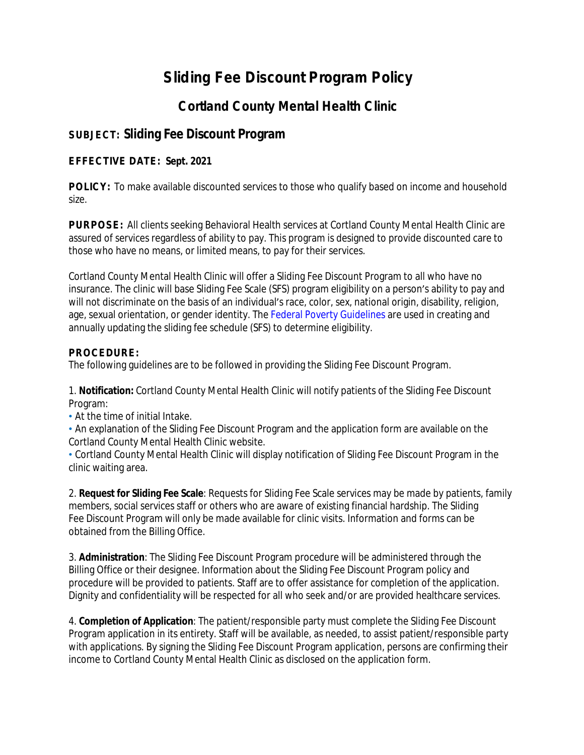# **Sliding Fee Discount Program Policy**

## **Cortland County Mental Health Clinic**

### **SUBJECT: Sliding Fee Discount Program**

#### **EFFECTIVE DATE: Sept. 2021**

**POLICY:** To make available discounted services to those who qualify based on income and household size.

**PURPOSE:** All clients seeking Behavioral Health services at Cortland County Mental Health Clinic are assured of services regardless of ability to pay. This program is designed to provide discounted care to those who have no means, or limited means, to pay for their services.

Cortland County Mental Health Clinic will offer a Sliding Fee Discount Program to all who have no insurance. The clinic will base Sliding Fee Scale (SFS) program eligibility on a person's ability to pay and will not discriminate on the basis of an individual's race, color, sex, national origin, disability, religion, age, sexual orientation, or gender identity. The Federal Poverty Guidelines are used in creating and annually updating the sliding fee schedule (SFS) to determine eligibility.

#### **PROCEDURE:**

The following guidelines are to be followed in providing the Sliding Fee Discount Program.

1. **Notification:** Cortland County Mental Health Clinic will notify patients of the Sliding Fee Discount Program:

• At the time of initial Intake.

• An explanation of the Sliding Fee Discount Program and the application form are available on the Cortland County Mental Health Clinic website.

• Cortland County Mental Health Clinic will display notification of Sliding Fee Discount Program in the clinic waiting area.

2. **Request for Sliding Fee Scale**: Requests for Sliding Fee Scale services may be made by patients, family members, social services staff or others who are aware of existing financial hardship. The Sliding Fee Discount Program will only be made available for clinic visits. Information and forms can be obtained from the Billing Office.

3. **Administration**: The Sliding Fee Discount Program procedure will be administered through the Billing Office or their designee. Information about the Sliding Fee Discount Program policy and procedure will be provided to patients. Staff are to offer assistance for completion of the application. Dignity and confidentiality will be respected for all who seek and/or are provided healthcare services.

4. **Completion of Application**: The patient/responsible party must complete the Sliding Fee Discount Program application in its entirety. Staff will be available, as needed, to assist patient/responsible party with applications. By signing the Sliding Fee Discount Program application, persons are confirming their income to Cortland County Mental Health Clinic as disclosed on the application form.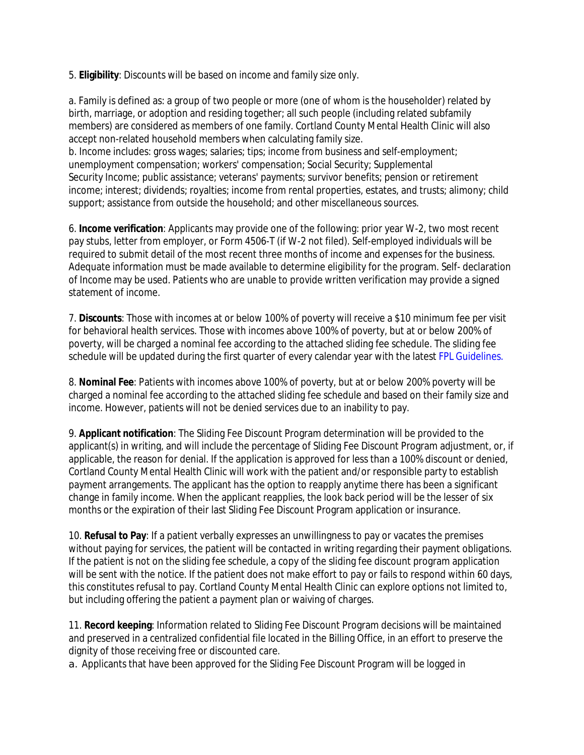5. **Eligibility**: Discounts will be based on income and family size only.

a. Family is defined as: a group of two people or more (one of whom is the householder) related by birth, marriage, or adoption and residing together; all such people (including related subfamily members) are considered as members of one family. Cortland County Mental Health Clinic will also accept non-related household members when calculating family size.

b. Income includes: gross wages; salaries; tips; income from business and self-employment; unemployment compensation; workers' compensation; Social Security; Supplemental Security Income; public assistance; veterans' payments; survivor benefits; pension or retirement income; interest; dividends; royalties; income from rental properties, estates, and trusts; alimony; child support; assistance from outside the household; and other miscellaneous sources.

6. **Income verification**: Applicants may provide one of the following: prior year W-2, two most recent pay stubs, letter from employer, or Form 4506-T (if W-2 not filed). Self-employed individuals will be required to submit detail of the most recent three months of income and expenses for the business. Adequate information must be made available to determine eligibility for the program. Self- declaration of Income may be used. Patients who are unable to provide written verification may provide a signed statement of income.

7. **Discounts**: Those with incomes at or below 100% of poverty will receive a \$10 minimum fee per visit for behavioral health services. Those with incomes above 100% of poverty, but at or below 200% of poverty, will be charged a nominal fee according to the attached sliding fee schedule. The sliding fee schedule will be updated during the first quarter of every calendar year with the latest FPL Guidelines.

8. **Nominal Fee**: Patients with incomes above 100% of poverty, but at or below 200% poverty will be charged a nominal fee according to the attached sliding fee schedule and based on their family size and income. However, patients will not be denied services due to an inability to pay.

9. **Applicant notification**: The Sliding Fee Discount Program determination will be provided to the applicant(s) in writing, and will include the percentage of Sliding Fee Discount Program adjustment, or, if applicable, the reason for denial. If the application is approved for less than a 100% discount or denied, Cortland County Mental Health Clinic will work with the patient and/or responsible party to establish payment arrangements. The applicant has the option to reapply anytime there has been a significant change in family income. When the applicant reapplies, the look back period will be the lesser of six months or the expiration of their last Sliding Fee Discount Program application or insurance.

10. **Refusal to Pay**: If a patient verbally expresses an unwillingness to pay or vacates the premises without paying for services, the patient will be contacted in writing regarding their payment obligations. If the patient is not on the sliding fee schedule, a copy of the sliding fee discount program application will be sent with the notice. If the patient does not make effort to pay or fails to respond within 60 days, this constitutes refusal to pay. Cortland County Mental Health Clinic can explore options not limited to, but including offering the patient a payment plan or waiving of charges.

11. **Record keeping**: Information related to Sliding Fee Discount Program decisions will be maintained and preserved in a centralized confidential file located in the Billing Office, in an effort to preserve the dignity of those receiving free or discounted care.

a. Applicants that have been approved for the Sliding Fee Discount Program will be logged in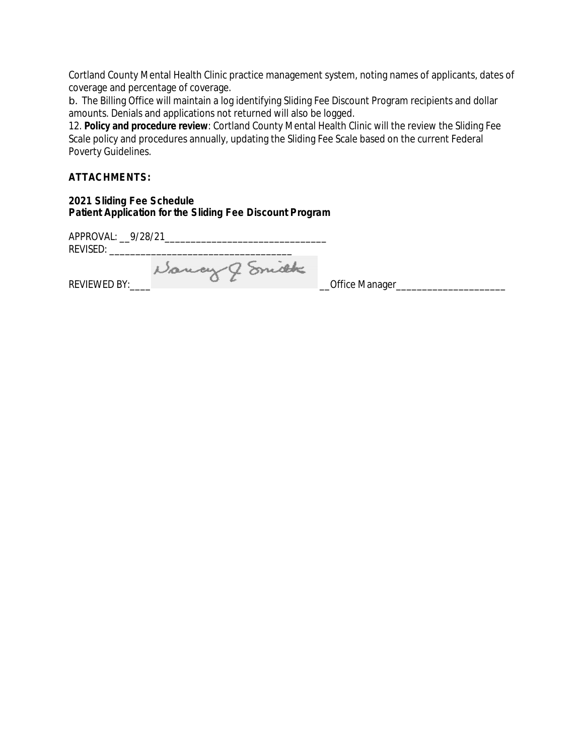Cortland County Mental Health Clinic practice management system, noting names of applicants, dates of coverage and percentage of coverage.

b. The Billing Office will maintain a log identifying Sliding Fee Discount Program recipients and dollar amounts. Denials and applications not returned will also be logged.

12. **Policy and procedure review**: Cortland County Mental Health Clinic will the review the Sliding Fee Scale policy and procedures annually, updating the Sliding Fee Scale based on the current Federal Poverty Guidelines.

#### **ATTACHMENTS:**

#### **2021 Sliding Fee Schedule Patient Application for the Sliding Fee Discount Program**

APPROVAL: \_\_9/28/21\_\_\_\_\_\_\_\_\_\_\_\_\_\_\_\_\_\_\_\_\_\_\_\_\_\_\_\_\_\_\_ REVISED: \_\_\_\_\_\_\_\_\_\_\_\_\_\_\_\_\_\_\_\_\_\_\_\_\_\_\_\_\_\_\_\_\_\_\_

REVIEWED BY:\_\_\_\_ \_\_Office Manager\_\_\_\_\_\_\_\_\_\_\_\_\_\_\_\_\_\_\_\_\_